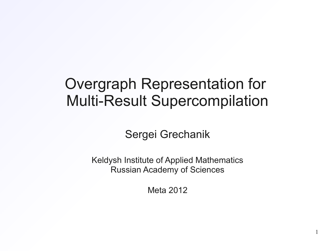### Overgraph Representation for Multi-Result Supercompilation

Sergei Grechanik

Keldysh Institute of Applied Mathematics Russian Academy of Sciences

Meta 2012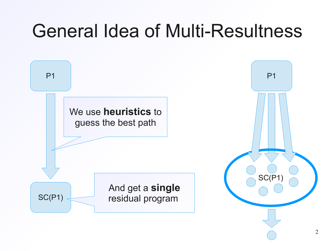# General Idea of Multi-Resultness

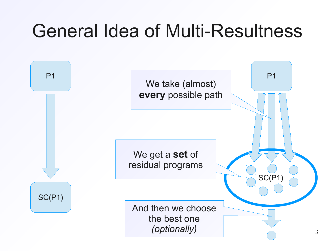# General Idea of Multi-Resultness

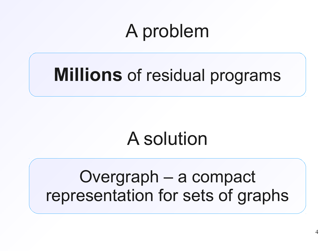# A problem

# **Millions** of residual programs

# A solution

### Overgraph – a compact representation for sets of graphs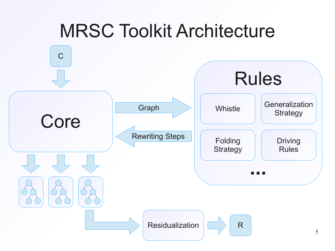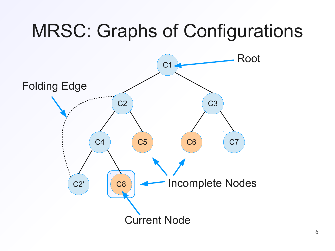# MRSC: Graphs of Configurations

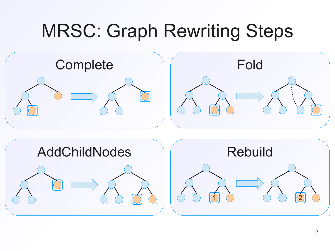# MRSC: Graph Rewriting Steps

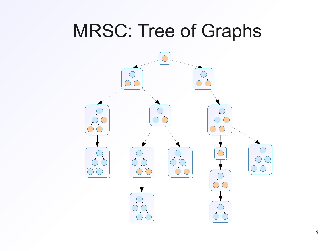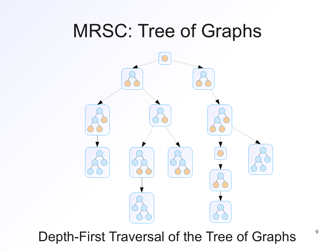

Depth-First Traversal of the Tree of Graphs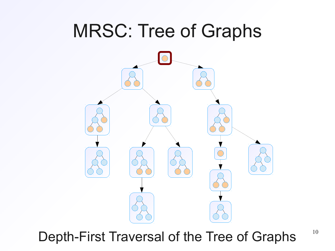Depth-First Traversal of the Tree of Graphs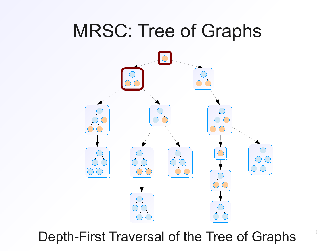Depth-First Traversal of the Tree of Graphs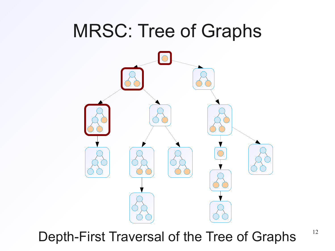Depth-First Traversal of the Tree of Graphs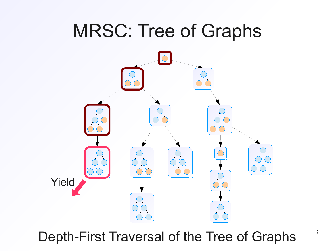

Depth-First Traversal of the Tree of Graphs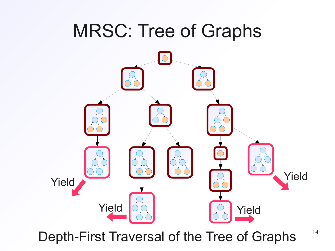

Depth-First Traversal of the Tree of Graphs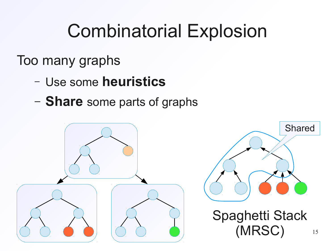# Combinatorial Explosion

### Too many graphs

- Use some **heuristics**
- **Share** some parts of graphs

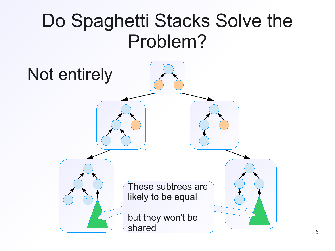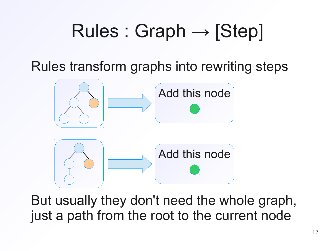# $Rules: Graph \rightarrow [Step]$

Rules transform graphs into rewriting steps



But usually they don't need the whole graph, just a path from the root to the current node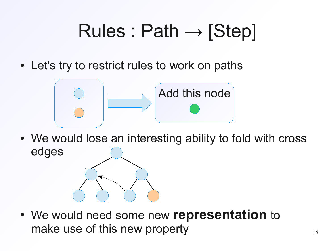# $Rules: Path \rightarrow [Step]$

• Let's try to restrict rules to work on paths



• We would lose an interesting ability to fold with cross edges

● We would need some new **representation** to make use of this new property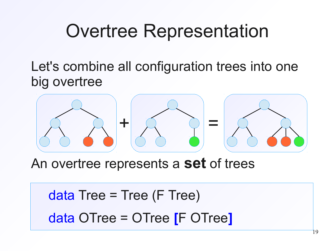# Overtree Representation

Let's combine all configuration trees into one big overtree



An overtree represents a **set** of trees

 $data$  Tree = Tree (F Tree) data OTree = OTree **[**F OTree**]**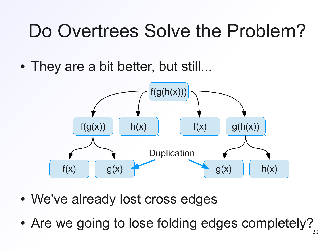# Do Overtrees Solve the Problem?

• They are a bit better, but still...



- We've already lost cross edges
- Are we going to lose folding edges completely?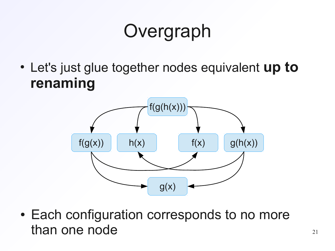# **Overgraph**

• Let's just glue together nodes equivalent **up to renaming**



• Each configuration corresponds to no more than one node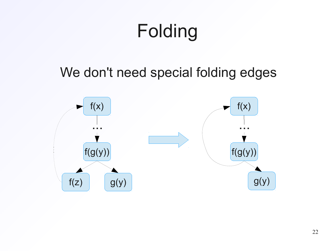# Folding

We don't need special folding edges

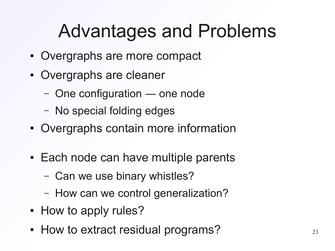# Advantages and Problems

- Overgraphs are more compact
- Overgraphs are cleaner
	- One configuration ― one node
	- No special folding edges
- Overgraphs contain more information
- Each node can have multiple parents
	- Can we use binary whistles?
	- How can we control generalization?
- How to apply rules?
- How to extract residual programs?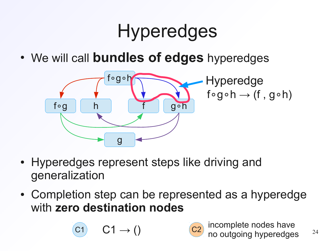# **Hyperedges**

• We will call **bundles of edges** hyperedges



- Hyperedges represent steps like driving and generalization
- Completion step can be represented as a hyperedge with **zero destination nodes**



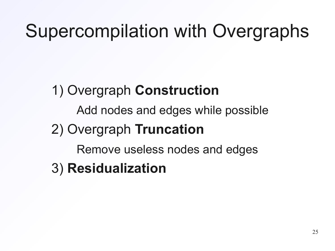# Supercompilation with Overgraphs

### 1) Overgraph **Construction**

Add nodes and edges while possible

### 2) Overgraph **Truncation**

Remove useless nodes and edges

3) **Residualization**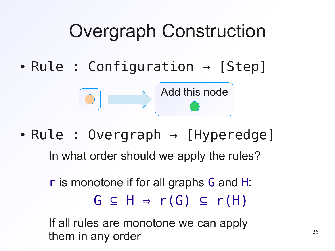# Overgraph Construction

 $\bullet$  Rule : Configuration  $\rightarrow$  [Step]



• Rule : Overgraph  $\rightarrow$  [Hyperedge]

In what order should we apply the rules?

 $G \subseteq H \Rightarrow r(G) \subseteq r(H)$ r is monotone if for all graphs G and H:

If all rules are monotone we can apply them in any order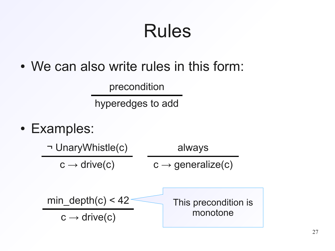# Rules

• We can also write rules in this form:

precondition

hyperedges to add

• Examples:

¬ UnaryWhistle(c)  $c \rightarrow$  drive(c) always  $c \rightarrow$  generalize(c)  $min\_depth(c) < 42$  $c \rightarrow$  drive(c) This precondition is monotone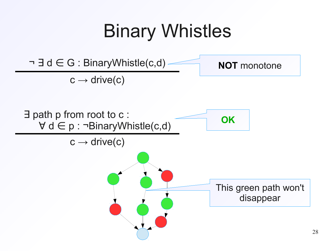# Binary Whistles

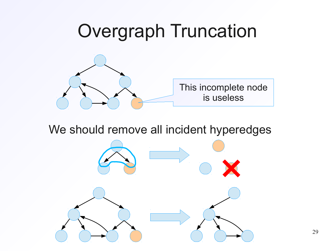# Overgraph Truncation This incomplete node is useless

We should remove all incident hyperedges

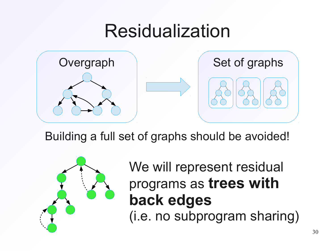# Residualization



Building a full set of graphs should be avoided!



We will represent residual programs as **trees with back edges** (i.e. no subprogram sharing)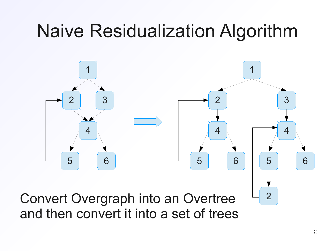# Naive Residualization Algorithm



Convert Overgraph into an Overtree  $\frac{1}{2}$ and then convert it into a set of trees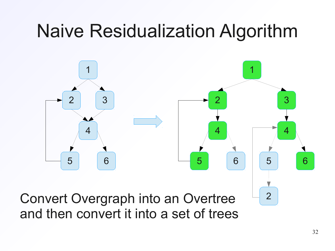# Naive Residualization Algorithm



Convert Overgraph into an Overtree  $\frac{1}{2}$ and then convert it into a set of trees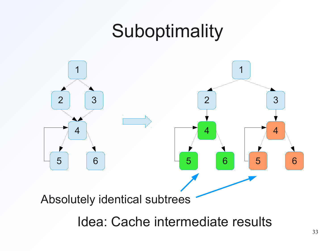# Suboptimality



Idea: Cache intermediate results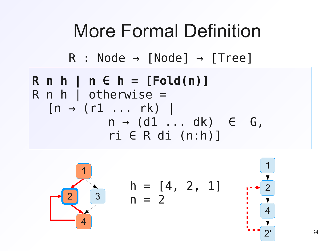

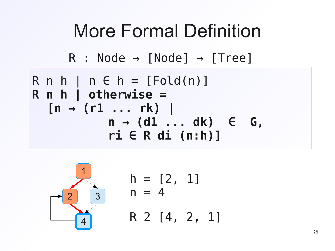



|  | $h = [2, 1]$<br>$n = 4$ |  |
|--|-------------------------|--|
|  | R 2 [4, 2, 1]           |  |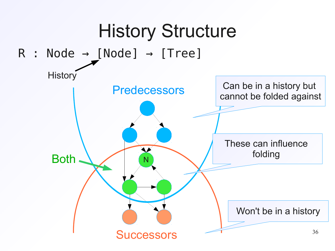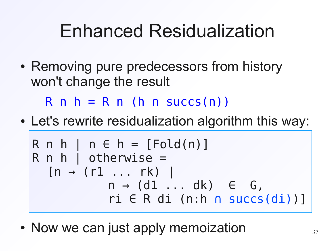# Enhanced Residualization

• Removing pure predecessors from history won't change the result

 $R$  n h = R n (h ∩ succs(n))

• Let's rewrite residualization algorithm this way:

R n h | n ∈ h = [Fold(n)] R n h | otherwise = [n → (r1 ... rk) | n → (d1 ... dk) ∈ G, ri ∈ R di (n:h ∩ succs(di))]

• Now we can just apply memoization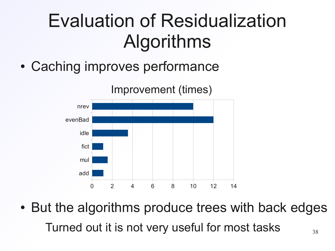# Evaluation of Residualization Algorithms

• Caching improves performance



38 • But the algorithms produce trees with back edges Turned out it is not very useful for most tasks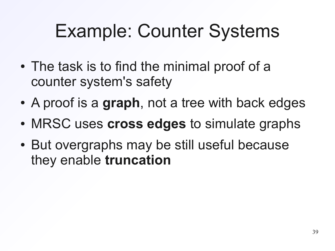# Example: Counter Systems

- The task is to find the minimal proof of a counter system's safety
- A proof is a **graph**, not a tree with back edges
- MRSC uses **cross edges** to simulate graphs
- But overgraphs may be still useful because they enable **truncation**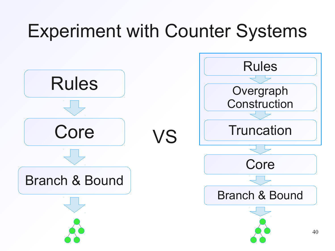# Experiment with Counter Systems

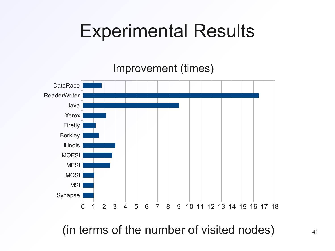# Experimental Results

Improvement (times)



(in terms of the number of visited nodes)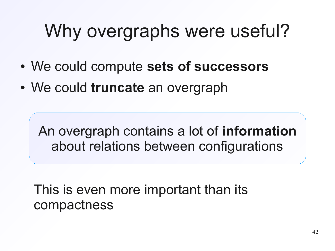# Why overgraphs were useful?

- We could compute **sets of successors**
- We could **truncate** an overgraph

An overgraph contains a lot of **information** about relations between configurations

This is even more important than its compactness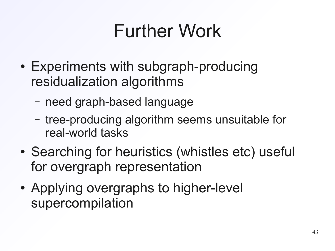# Further Work

- Experiments with subgraph-producing residualization algorithms
	- need graph-based language
	- tree-producing algorithm seems unsuitable for real-world tasks
- Searching for heuristics (whistles etc) useful for overgraph representation
- Applying overgraphs to higher-level supercompilation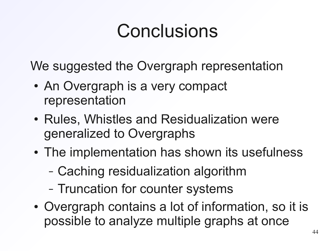# Conclusions

We suggested the Overgraph representation

- An Overgraph is a very compact representation
- Rules, Whistles and Residualization were generalized to Overgraphs
- The implementation has shown its usefulness
	- Caching residualization algorithm
	- Truncation for counter systems
- Overgraph contains a lot of information, so it is possible to analyze multiple graphs at once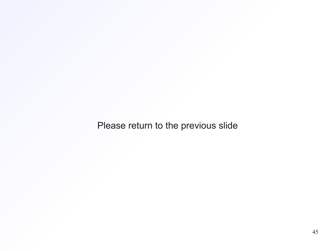Please return to the previous slide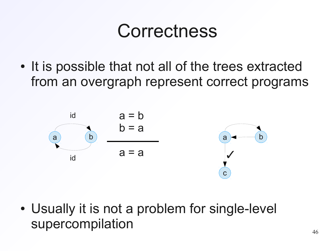# **Correctness**

• It is possible that not all of the trees extracted from an overgraph represent correct programs



• Usually it is not a problem for single-level supercompilation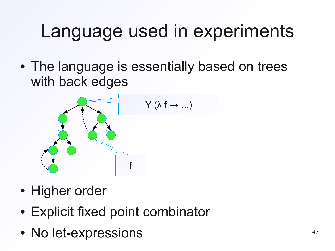# Language used in experiments

• The language is essentially based on trees with back edges



- Higher order
- Explicit fixed point combinator
- No let-expressions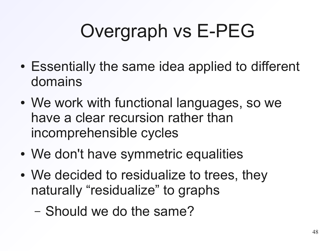# Overgraph vs E-PEG

- Essentially the same idea applied to different domains
- We work with functional languages, so we have a clear recursion rather than incomprehensible cycles
- We don't have symmetric equalities
- We decided to residualize to trees, they naturally "residualize" to graphs
	- Should we do the same?